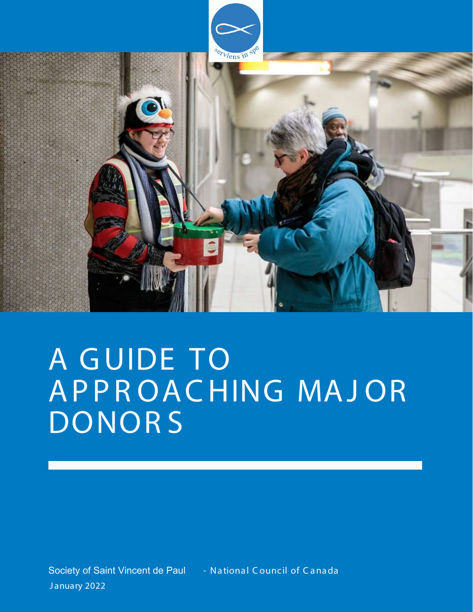

# A GUIDE TO AP P R O A C HING MAJOR DONORS<sup>®</sup>

Society of Saint Vincent de Paul - National Council of Canada January 2022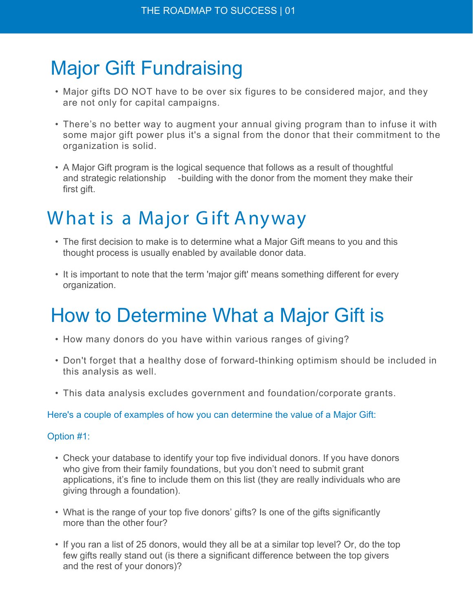# Major Gift Fundraising

- Major gifts DO NOT have to be over six figures to be considered major, and they are not only for capital campaigns.
- There's no better way to augment your annual giving program than to infuse it with some major gift power plus it's a signal from the donor that their commitment to the organization is solid.
- A Major Gift program is the logical sequence that follows as a result of thoughtful and strategic relationship - building with the donor from the moment they make their first gift.

# What is a Major Gift Anyway

- The first decision to make is to determine what a Major Gift means to you and this thought process is usually enabled by available donor data.
- It is important to note that the term 'major gift' means something different for every organization.

# How to Determine What a Major Gift is

- How many donors do you have within various ranges of giving?
- Don't forget that a healthy dose of forward-thinking optimism should be included in this analysis as well.
- This data analysis excludes government and foundation/corporate grants.

Here's a couple of examples of how you can determine the value of a Major Gift:

### Option #1:

- Check your database to identify your top five individual donors. If you have donors who give from their family foundations, but you don't need to submit grant applications, it's fine to include them on this list (they are really individuals who are giving through a foundation).
- What is the range of your top five donors' gifts? Is one of the gifts significantly more than the other four?
- If you ran a list of 25 donors, would they all be at a similar top level? Or, do the top few gifts really stand out (is there a significant difference between the top givers and the rest of your donors)?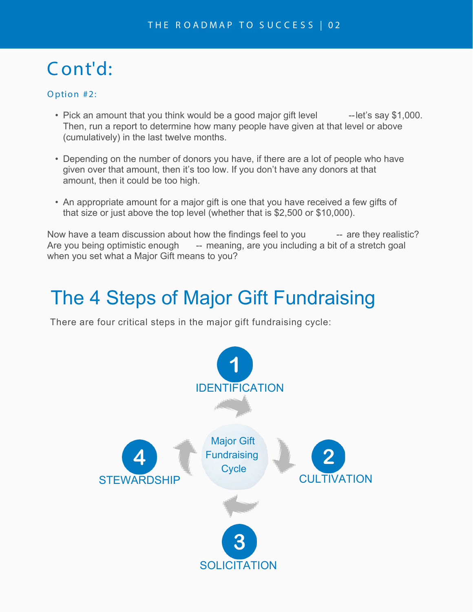# C ont'd:

### Option #2:

- Pick an amount that you think would be a good major gift level --let's say \$1,000. Then, run a report to determine how many people have given at that level or above (cumulatively) in the last twelve months.
- Depending on the number of donors you have, if there are a lot of people who have given over that amount, then it's too low. If you don't have any donors at that amount, then it could be too high.
- An appropriate amount for a major gift is one that you have received a few gifts of that size or just above the top level (whether that is \$2,500 or \$10,000).

Now have a team discussion about how the findings feel to you -- are they realistic? Are you being optimistic enough -- meaning, are you including a bit of a stretch goal when you set what a Major Gift means to you?

## The 4 Steps of Major Gift Fundraising

There are four critical steps in the major gift fundraising cycle:

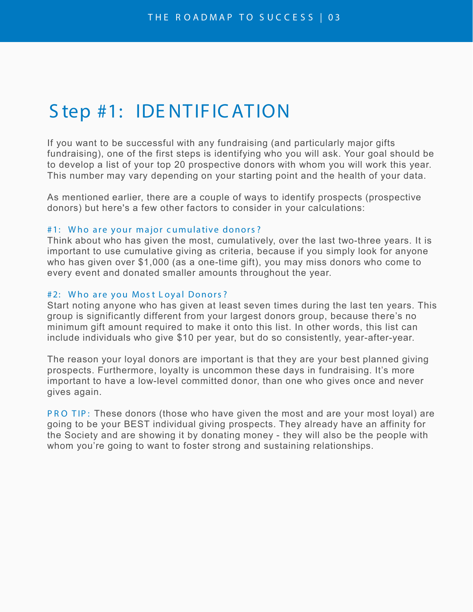### S tep #1: IDE NT IF IC AT ION

If you want to be successful with any fundraising (and particularly major gifts fundraising), one of the first steps is identifying who you will ask. Your goal should be to develop a list of your top 20 prospective donors with whom you will work this year. This number may vary depending on your starting point and the health of your data.

As mentioned earlier, there are a couple of ways to identify prospects (prospective donors) but here's a few other factors to consider in your calculations:

#### #1: Who are your major cumulative donors?

Think about who has given the most, cumulatively, over the last two-three years. It is important to use cumulative giving as criteria, because if you simply look for anyone who has given over \$1,000 (as a one-time gift), you may miss donors who come to every event and donated smaller amounts throughout the year.

#### #2: Who are you Most Loyal Donors?

Start noting anyone who has given at least seven times during the last ten years. This group is significantly different from your largest donors group, because there's no minimum gift amount required to make it onto this list. In other words, this list can include individuals who give \$10 per year, but do so consistently, year-after-year.

The reason your loyal donors are important is that they are your best planned giving prospects. Furthermore, loyalty is uncommon these days in fundraising. It's more important to have a low-level committed donor, than one who gives once and never gives again.

PRO TIP: These donors (those who have given the most and are your most loyal) are going to be your BEST individual giving prospects. They already have an affinity for the Society and are showing it by donating money - they will also be the people with whom you're going to want to foster strong and sustaining relationships.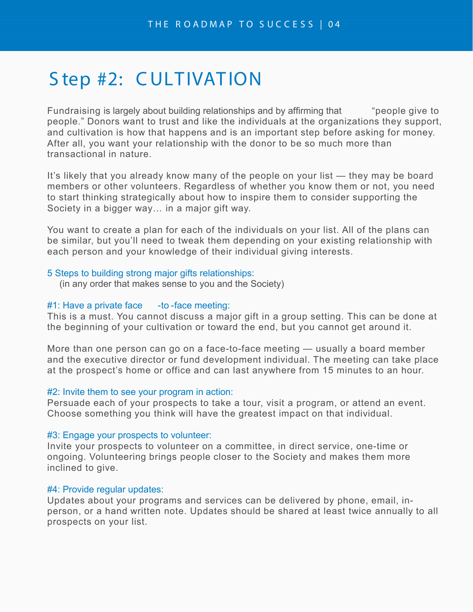### Step #2: CULTIVATION

Fundraising is largely about building relationships and by affirming that "people give to people." Donors want to trust and like the individuals at the organizations they support, and cultivation is how that happens and is an important step before asking for money. After all, you want your relationship with the donor to be so much more than transactional in nature.

It's likely that you already know many of the people on your list — they may be board members or other volunteers. Regardless of whether you know them or not, you need to start thinking strategically about how to inspire them to consider supporting the Society in a bigger way… in a major gift way.

You want to create a plan for each of the individuals on your list. All of the plans can be similar, but you'll need to tweak them depending on your existing relationship with each person and your knowledge of their individual giving interests.

#### 5 Steps to building strong major gifts relationships:

(in any order that makes sense to you and the Society)

#### $#1$ : Have a private face  $-$ to -face meeting:

This is a must. You cannot discuss a major gift in a group setting. This can be done at the beginning of your cultivation or toward the end, but you cannot get around it.

More than one person can go on a face-to-face meeting — usually a board member and the executive director or fund development individual. The meeting can take place at the prospect's home or office and can last anywhere from 15 minutes to an hour.

#### #2: Invite them to see your program in action:

Persuade each of your prospects to take a tour, visit a program, or attend an event. Choose something you think will have the greatest impact on that individual.

#### #3: Engage your prospects to volunteer:

Invite your prospects to volunteer on a committee, in direct service, one-time or ongoing. Volunteering brings people closer to the Society and makes them more inclined to give.

### #4: Provide regular updates:

Updates about your programs and services can be delivered by phone, email, inperson, or a hand written note. Updates should be shared at least twice annually to all prospects on your list.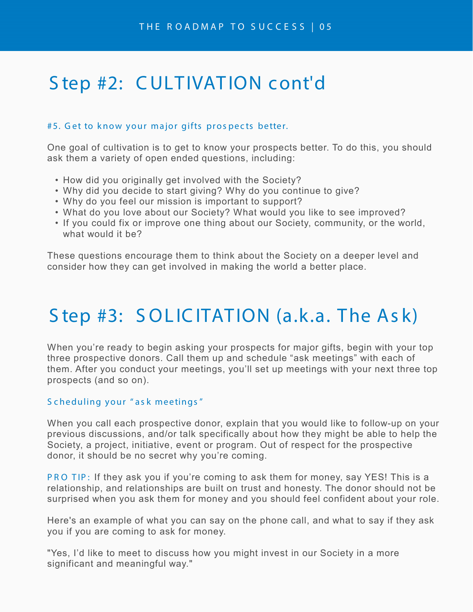### S tep #2: CULTIVATION cont'd

### #5. Get to know your major gifts prospects better.

One goal of cultivation is to get to know your prospects better. To do this, you should ask them a variety of open ended questions, including:

- How did you originally get involved with the Society?
- Why did you decide to start giving? Why do you continue to give?
- Why do you feel our mission is important to support?
- What do you love about our Society? What would you like to see improved?
- If you could fix or improve one thing about our Society, community, or the world, what would it be?

These questions encourage them to think about the Society on a deeper level and consider how they can get involved in making the world a better place.

# S tep #3: SOLICITATION (a.k.a. The Ask)

When you're ready to begin asking your prospects for major gifts, begin with your top three prospective donors. Call them up and schedule "ask meetings" with each of them. After you conduct your meetings, you'll set up meetings with your next three top prospects (and so on).

### S c heduling your " as k meetings "

When you call each prospective donor, explain that you would like to follow-up on your previous discussions, and/or talk specifically about how they might be able to help the Society, a project, initiative, event or program. Out of respect for the prospective donor, it should be no secret why you're coming.

PR O TIP: If they ask you if you're coming to ask them for money, say YES! This is a relationship, and relationships are built on trust and honesty. The donor should not be surprised when you ask them for money and you should feel confident about your role.

Here's an example of what you can say on the phone call, and what to say if they ask you if you are coming to ask for money.

"Yes, I'd like to meet to discuss how you might invest in our Society in a more significant and meaningful way."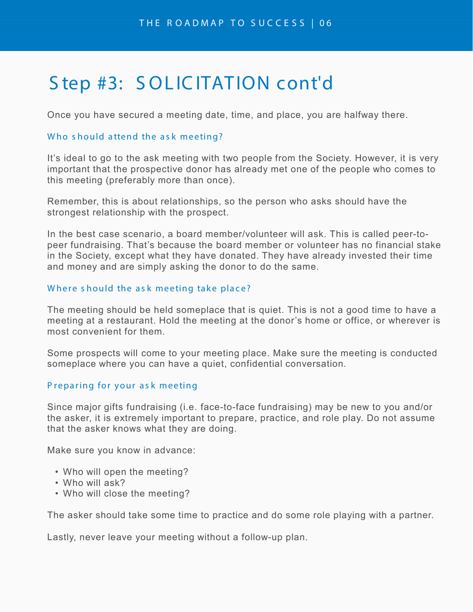### S tep #3: SOLIC ITATION cont'd

Once you have secured a meeting date, time, and place, you are halfway there.

### Who should attend the ask meeting?

It's ideal to go to the ask meeting with two people from the Society. However, it is very important that the prospective donor has already met one of the people who comes to this meeting (preferably more than once).

Remember, this is about relationships, so the person who asks should have the strongest relationship with the prospect.

In the best case scenario, a board member/volunteer will ask. This is called peer-topeer fundraising. That's because the board member or volunteer has no financial stake in the Society, except what they have donated. They have already invested their time and money and are simply asking the donor to do the same.

### Where should the ask meeting take place?

The meeting should be held someplace that is quiet. This is not a good time to have a meeting at a restaurant. Hold the meeting at the donor's home or office, or wherever is most convenient for them.

Some prospects will come to your meeting place. Make sure the meeting is conducted someplace where you can have a quiet, confidential conversation.

### P reparing for your ask meeting

Since major gifts fundraising (i.e. face-to-face fundraising) may be new to you and/or the asker, it is extremely important to prepare, practice, and role play. Do not assume that the asker knows what they are doing.

Make sure you know in advance:

- Who will open the meeting?
- Who will ask?
- Who will close the meeting?

The asker should take some time to practice and do some role playing with a partner.

Lastly, never leave your meeting without a follow-up plan.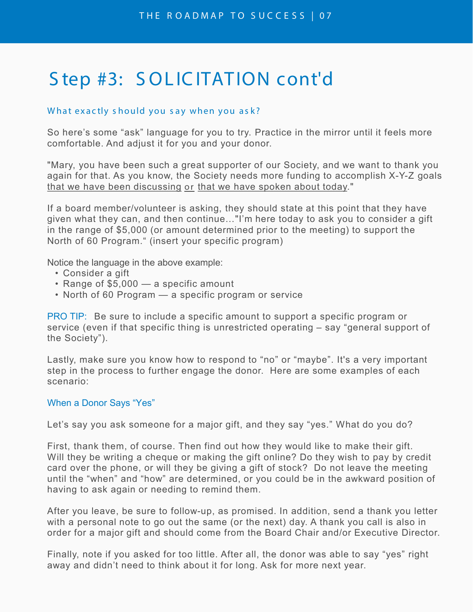# Step #3: SOLICITATION cont'd

### What exactly should you say when you ask?

So here's some "ask" language for you to try. Practice in the mirror until it feels more comfortable. And adjust it for you and your donor.

"Mary, you have been such a great supporter of our Society, and we want to thank you again for that. As you know, the Society needs more funding to accomplish X-Y-Z goals that we have been discussing or that we have spoken about today."

If a board member/volunteer is asking, they should state at this point that they have given what they can, and then continue…"I'm here today to ask you to consider a gift in the range of \$5,000 (or amount determined prior to the meeting) to support the North of 60 Program." (insert your specific program)

Notice the language in the above example:

- Consider a gift
- Range of \$5,000 a specific amount
- North of 60 Program a specific program or service

PRO TIP: Be sure to include a specific amount to support a specific program or service (even if that specific thing is unrestricted operating – say "general support of the Society").

Lastly, make sure you know how to respond to "no" or "maybe". It's a very important step in the process to further engage the donor. Here are some examples of each scenario:

### When a Donor Says "Yes"

Let's say you ask someone for a major gift, and they say "yes." What do you do?

First, thank them, of course. Then find out how they would like to make their gift. Will they be writing a cheque or making the gift online? Do they wish to pay by credit card over the phone, or will they be giving a gift of stock? Do not leave the meeting until the "when" and "how" are determined, or you could be in the awkward position of having to ask again or needing to remind them.

After you leave, be sure to follow-up, as promised. In addition, send a thank you letter with a personal note to go out the same (or the next) day. A thank you call is also in order for a major gift and should come from the Board Chair and/or Executive Director.

Finally, note if you asked for too little. After all, the donor was able to say "yes" right away and didn't need to think about it for long. Ask for more next year.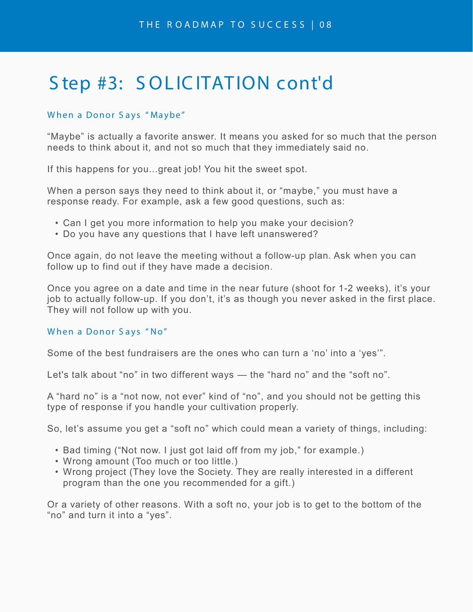# Step #3: SOLICITATION cont'd

### When a Donor S ays " Maybe"

"Maybe" is actually a favorite answer. It means you asked for so much that the person needs to think about it, and not so much that they immediately said no.

If this happens for you...great job! You hit the sweet spot.

When a person says they need to think about it, or "maybe," you must have a response ready. For example, ask a few good questions, such as:

- Can I get you more information to help you make your decision?
- Do you have any questions that I have left unanswered?

Once again, do not leave the meeting without a follow-up plan. Ask when you can follow up to find out if they have made a decision.

Once you agree on a date and time in the near future (shoot for 1-2 weeks), it's your job to actually follow-up. If you don't, it's as though you never asked in the first place. They will not follow up with you.

### When a Donor S ays " No"

Some of the best fundraisers are the ones who can turn a 'no' into a 'yes'".

Let's talk about "no" in two different ways — the "hard no" and the "soft no".

A "hard no" is a "not now, not ever" kind of "no", and you should not be getting this type of response if you handle your cultivation properly.

So, let's assume you get a "soft no" which could mean a variety of things, including:

- Bad timing ("Not now. I just got laid off from my job," for example.)
- Wrong amount (Too much or too little.)
- Wrong project (They love the Society. They are really interested in a different program than the one you recommended for a gift.)

Or a variety of other reasons. With a soft no, your job is to get to the bottom of the "no" and turn it into a "yes".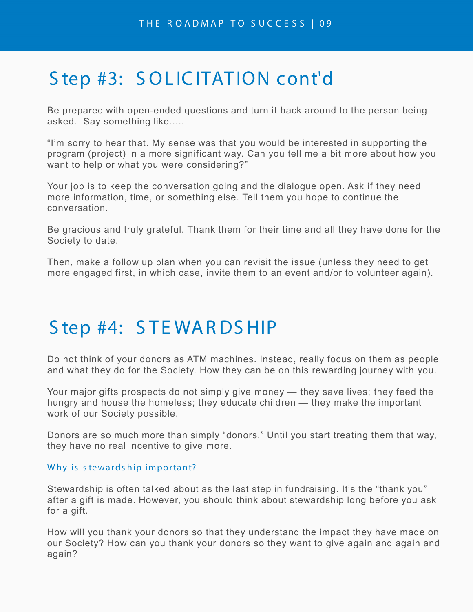# Step #3: SOLICITATION cont'd

Be prepared with open-ended questions and turn it back around to the person being asked. Say something like.....

"I'm sorry to hear that. My sense was that you would be interested in supporting the program (project) in a more significant way. Can you tell me a bit more about how you want to help or what you were considering?"

Your job is to keep the conversation going and the dialogue open. Ask if they need more information, time, or something else. Tell them you hope to continue the conversation.

Be gracious and truly grateful. Thank them for their time and all they have done for the Society to date.

Then, make a follow up plan when you can revisit the issue (unless they need to get more engaged first, in which case, invite them to an event and/or to volunteer again).

### S tep #4: S TE WARDS HIP

Do not think of your donors as ATM machines. Instead, really focus on them as people and what they do for the Society. How they can be on this rewarding journey with you.

Your major gifts prospects do not simply give money — they save lives; they feed the hungry and house the homeless; they educate children — they make the important work of our Society possible.

Donors are so much more than simply "donors." Until you start treating them that way, they have no real incentive to give more.

### Why is stewardship important?

Stewardship is often talked about as the last step in fundraising. It's the "thank you" after a gift is made. However, you should think about stewardship long before you ask for a gift.

How will you thank your donors so that they understand the impact they have made on our Society? How can you thank your donors so they want to give again and again and again?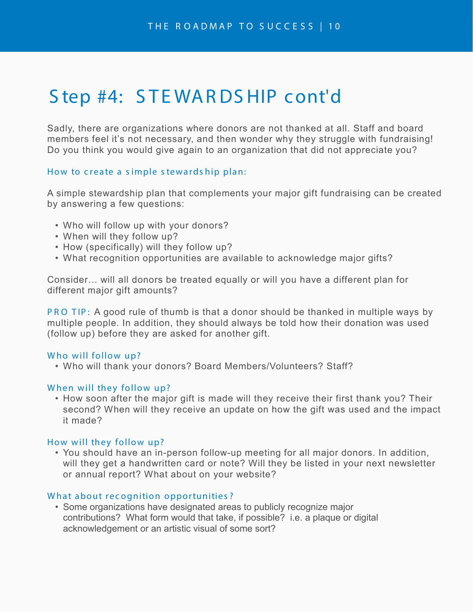### S tep #4: S TE WARDS HIP cont'd

Sadly, there are organizations where donors are not thanked at all. Staff and board members feel it's not necessary, and then wonder why they struggle with fundraising! Do you think you would give again to an organization that did not appreciate you?

### How to create a simple stewards hip plan:

A simple stewardship plan that complements your major gift fundraising can be created by answering a few questions:

- Who will follow up with your donors?
- When will they follow up?
- How (specifically) will they follow up?
- What recognition opportunities are available to acknowledge major gifts?

Consider… will all donors be treated equally or will you have a different plan for different major gift amounts?

PR O TIP: A good rule of thumb is that a donor should be thanked in multiple ways by multiple people. In addition, they should always be told how their donation was used (follow up) before they are asked for another gift.

### Who will follow up?

• Who will thank your donors? Board Members/Volunteers? Staff?

### When will they follow up?

• How soon after the major gift is made will they receive their first thank you? Their second? When will they receive an update on how the gift was used and the impact it made?

### How will they follow up?

• You should have an in-person follow-up meeting for all major donors. In addition, will they get a handwritten card or note? Will they be listed in your next newsletter or annual report? What about on your website?

### What about recognition opportunities?

• Some organizations have designated areas to publicly recognize major contributions? What form would that take, if possible? i.e. a plaque or digital acknowledgement or an artistic visual of some sort?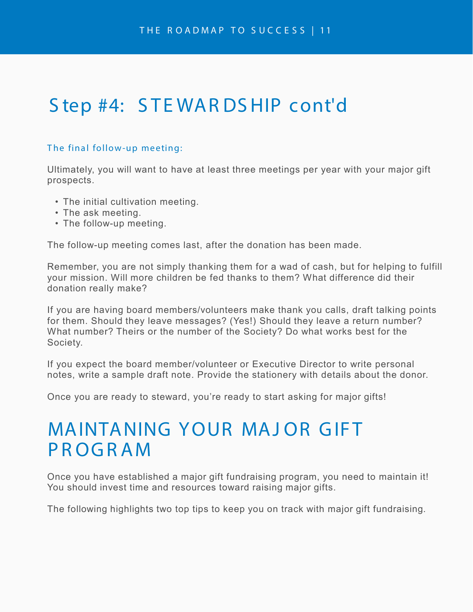# S tep #4: STEWARDS HIP cont'd

### The final follow-up meeting:

Ultimately, you will want to have at least three meetings per year with your major gift prospects.

- The initial cultivation meeting.
- The ask meeting.
- The follow-up meeting.

The follow-up meeting comes last, after the donation has been made.

Remember, you are not simply thanking them for a wad of cash, but for helping to fulfill your mission. Will more children be fed thanks to them? What difference did their donation really make?

If you are having board members/volunteers make thank you calls, draft talking points for them. Should they leave messages? (Yes!) Should they leave a return number? What number? Theirs or the number of the Society? Do what works best for the Society.

If you expect the board member/volunteer or Executive Director to write personal notes, write a sample draft note. Provide the stationery with details about the donor.

Once you are ready to steward, you're ready to start asking for major gifts!

### MAINTANING YOUR MAJ OR GIFT PROGRAM

Once you have established a major gift fundraising program, you need to maintain it! You should invest time and resources toward raising major gifts.

The following highlights two top tips to keep you on track with major gift fundraising.